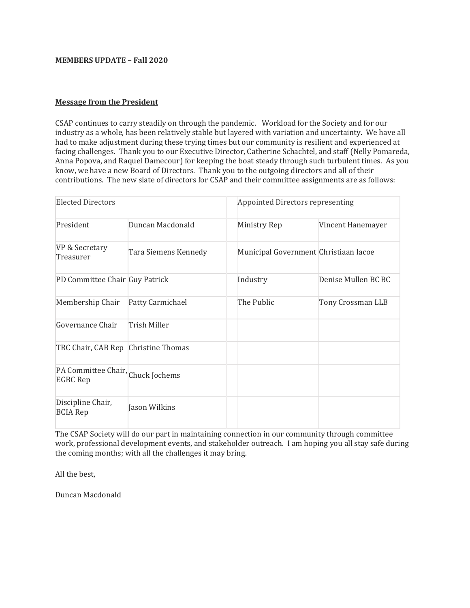# **MEMBERS UPDATE – Fall 2020**

#### **Message from the President**

CSAP continues to carry steadily on through the pandemic. Workload for the Society and for our industry as a whole, has been relatively stable but layered with variation and uncertainty. We have all had to make adjustment during these trying times but our community is resilient and experienced at facing challenges. Thank you to our Executive Director, Catherine Schachtel, and staff (Nelly Pomareda, Anna Popova, and Raquel Damecour) for keeping the boat steady through such turbulent times. As you know, we have a new Board of Directors. Thank you to the outgoing directors and all of their contributions. The new slate of directors for CSAP and their committee assignments are as follows:

| <b>Elected Directors</b>                             |                      | Appointed Directors representing      |                     |
|------------------------------------------------------|----------------------|---------------------------------------|---------------------|
| President                                            | Duncan Macdonald     | Ministry Rep                          | Vincent Hanemayer   |
| VP & Secretary<br>Treasurer                          | Tara Siemens Kennedy | Municipal Government Christiaan Iacoe |                     |
| PD Committee Chair Guy Patrick                       |                      | Industry                              | Denise Mullen BC BC |
| Membership Chair                                     | Patty Carmichael     | The Public                            | Tony Crossman LLB   |
| Governance Chair                                     | Trish Miller         |                                       |                     |
| TRC Chair, CAB Rep Christine Thomas                  |                      |                                       |                     |
| PA Committee Chair, Chuck Jochems<br><b>EGBC Rep</b> |                      |                                       |                     |
| Discipline Chair,<br><b>BCIA Rep</b>                 | Jason Wilkins        |                                       |                     |

The CSAP Society will do our part in maintaining connection in our community through committee work, professional development events, and stakeholder outreach. I am hoping you all stay safe during the coming months; with all the challenges it may bring.

All the best,

Duncan Macdonald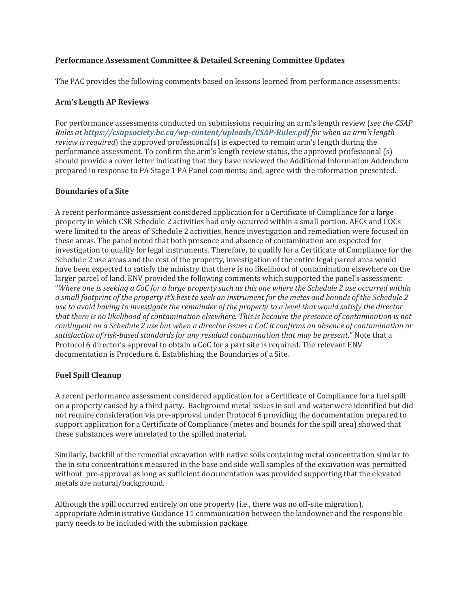## **Performance Assessment Committee & Detailed Screening Committee Updates**

The PAC provides the following comments based on lessons learned from performance assessments:

### **Arm's Length AP Reviews**

For performance assessments conducted on submissions requiring an arm's length review (*see the CSAP Rules at <https://csapsociety.bc.ca/wp-content/uploads/CSAP-Rules.pdf> for when an arm's length review is required*) the approved professional(s) is expected to remain arm's length during the performance assessment. To confirm the arm's length review status, the approved professional (s) should provide a cover letter indicating that they have reviewed the Additional Information Addendum prepared in response to PA Stage 1 PA Panel comments; and, agree with the information presented.

### **Boundaries of a Site**

A recent performance assessment considered application for a Certificate of Compliance for a large property in which CSR Schedule 2 activities had only occurred within a small portion. AECs and COCs were limited to the areas of Schedule 2 activities, hence investigation and remediation were focused on these areas. The panel noted that both presence and absence of contamination are expected for investigation to qualify for legal instruments. Therefore, to qualify for a Certificate of Compliance for the Schedule 2 use areas and the rest of the property, investigation of the entire legal parcel area would have been expected to satisfy the ministry that there is no likelihood of contamination elsewhere on the larger parcel of land. ENV provided the following comments which supported the panel's assessment: "*Where one is seeking a CoC for a large property such as this one where the Schedule 2 use occurred within a small footprint of the property it's best to seek an instrument for the metes and bounds of the Schedule 2 use to avoid having to investigate the remainder of the property to a level that would satisfy the director that there is no likelihood of contamination elsewhere. This is because the presence of contamination is not contingent on a Schedule 2 use but when a director issues a CoC it confirms an absence of contamination or satisfaction of risk-based standards for any residual contamination that may be present*." Note that a Protocol 6 director's approval to obtain a CoC for a part site is required. The relevant ENV documentation is Procedure 6. Establishing the Boundaries of a Site.

### **Fuel Spill Cleanup**

A recent performance assessment considered application for a Certificate of Compliance for a fuel spill on a property caused by a third party. Background metal issues in soil and water were identified but did not require consideration via pre-approval under Protocol 6 providing the documentation prepared to support application for a Certificate of Compliance (metes and bounds for the spill area) showed that these substances were unrelated to the spilled material.

Similarly, backfill of the remedial excavation with native soils containing metal concentration similar to the in situ concentrations measured in the base and side wall samples of the excavation was permitted without pre-approval as long as sufficient documentation was provided supporting that the elevated metals are natural/background.

Although the spill occurred entirely on one property (i.e., there was no off-site migration), appropriate Administrative Guidance 11 communication between the landowner and the responsible party needs to be included with the submission package.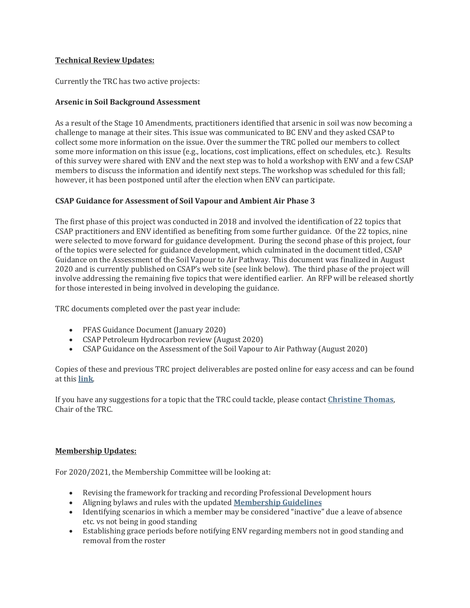# **Technical Review Updates:**

Currently the TRC has two active projects:

## **Arsenic in Soil Background Assessment**

As a result of the Stage 10 Amendments, practitioners identified that arsenic in soil was now becoming a challenge to manage at their sites. This issue was communicated to BC ENV and they asked CSAP to collect some more information on the issue. Over the summer the TRC polled our members to collect some more information on this issue (e.g., locations, cost implications, effect on schedules, etc.). Results of this survey were shared with ENV and the next step was to hold a workshop with ENV and a few CSAP members to discuss the information and identify next steps. The workshop was scheduled for this fall; however, it has been postponed until after the election when ENV can participate.

## **CSAP Guidance for Assessment of Soil Vapour and Ambient Air Phase 3**

The first phase of this project was conducted in 2018 and involved the identification of 22 topics that CSAP practitioners and ENV identified as benefiting from some further guidance. Of the 22 topics, nine were selected to move forward for guidance development. During the second phase of this project, four of the topics were selected for guidance development, which culminated in the document titled, CSAP Guidance on the Assessment of the Soil Vapour to Air Pathway. This document was finalized in August 2020 and is currently published on CSAP's web site (see link below). The third phase of the project will involve addressing the remaining five topics that were identified earlier. An RFP will be released shortly for those interested in being involved in developing the guidance.

TRC documents completed over the past year include:

- PFAS Guidance Document (January 2020)
- CSAP Petroleum Hydrocarbon review (August 2020)
- CSAP Guidance on the Assessment of the Soil Vapour to Air Pathway (August 2020)

Copies of these and previous TRC project deliverables are posted online for easy access and can be found at this **[link](https://csapsociety.bc.ca/members/professional-development/technical-studies/)**.

If you have any suggestions for a topic that the TRC could tackle, please contact **[Christine Thomas](mailto:christine_thomas@golder.com)**, Chair of the TRC.

### **Membership Updates:**

For 2020/2021, the Membership Committee will be looking at:

- Revising the framework for tracking and recording Professional Development hours
- Aligning bylaws and rules with the updated **[Membership Guidelines](https://csapsociety.bc.ca/join/guidelines/)**
- Identifying scenarios in which a member may be considered "inactive" due a leave of absence etc. vs not being in good standing
- Establishing grace periods before notifying ENV regarding members not in good standing and removal from the roster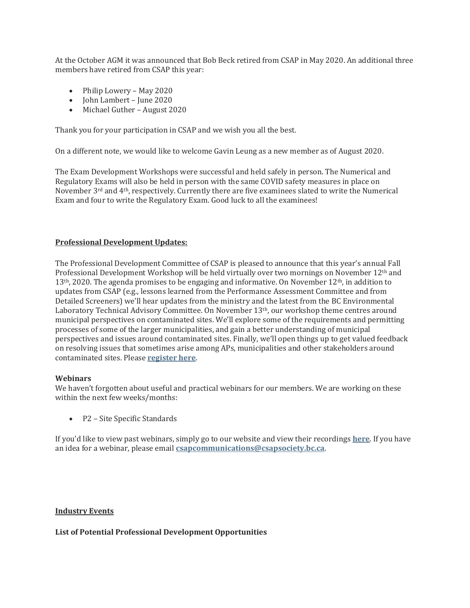At the October AGM it was announced that Bob Beck retired from CSAP in May 2020. An additional three members have retired from CSAP this year:

- Philip Lowery May 2020
- John Lambert June 2020
- Michael Guther August 2020

Thank you for your participation in CSAP and we wish you all the best.

On a different note, we would like to welcome Gavin Leung as a new member as of August 2020.

The Exam Development Workshops were successful and held safely in person. The Numerical and Regulatory Exams will also be held in person with the same COVID safety measures in place on November  $3<sup>rd</sup>$  and  $4<sup>th</sup>$ , respectively. Currently there are five examinees slated to write the Numerical Exam and four to write the Regulatory Exam. Good luck to all the examinees!

### **Professional Development Updates:**

The Professional Development Committee of CSAP is pleased to announce that this year's annual Fall Professional Development Workshop will be held virtually over two mornings on November 12th and  $13<sup>th</sup>$ , 2020. The agenda promises to be engaging and informative. On November  $12<sup>th</sup>$ , in addition to updates from CSAP (e.g., lessons learned from the Performance Assessment Committee and from Detailed Screeners) we'll hear updates from the ministry and the latest from the BC Environmental Laboratory Technical Advisory Committee. On November 13th, our workshop theme centres around municipal perspectives on contaminated sites. We'll explore some of the requirements and permitting processes of some of the larger municipalities, and gain a better understanding of municipal perspectives and issues around contaminated sites. Finally, we'll open things up to get valued feedback on resolving issues that sometimes arise among APs, municipalities and other stakeholders around contaminated sites. Please **[register here](https://zoom.us/webinar/register/WN_5LBJOae8Qaq6A_LkTiswPw)**.

#### **Webinars**

We haven't forgotten about useful and practical webinars for our members. We are working on these within the next few weeks/months:

• P2 – Site Specific Standards

If you'd like to view past webinars, simply go to our website and view their recordings **[here](https://csapsociety.bc.ca/members/pd-webinars/)**. If you have an idea for a webinar, please email **[csapcommunications@csapsociety.bc.ca](mailto:csapcommunications@csapsociety.bc.ca)**.

#### **Industry Events**

**List of Potential Professional Development Opportunities**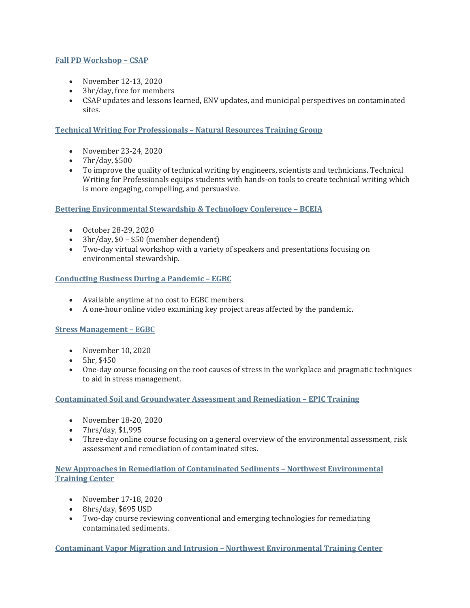# **[Fall PD Workshop](https://csapsociety.bc.ca/events-2/) – CSAP**

- November 12-13, 2020
- 3hr/day, free for members
- CSAP updates and lessons learned, ENV updates, and municipal perspectives on contaminated sites.

## **[Technical Writing For Professionals](https://www.nrtraininggroup.com/nrtg-products/technical-writing-online-november-23-24-2020) – Natural Resources Training Group**

- November 23-24, 2020
- 7hr/day, \$500
- To improve the quality of technical writing by engineers, scientists and technicians. Technical Writing for Professionals equips students with hands-on tools to create technical writing which is more engaging, compelling, and persuasive.

### **[Bettering Environmental Stewardship & Technology Conference](https://bceia.com/best/) – BCEIA**

- October 28-29, 2020
- 3hr/day, \$0 \$50 (member dependent)
- Two-day virtual workshop with a variety of speakers and presentations focusing on environmental stewardship.

### **[Conducting Business During a Pandemic](https://www.egbc.ca/Practice-Resources/Professional-Development/Online-Learning/Products/Videos/Business-Management/Conducting-Business-During-a-Pandemic-Project-Dela) – EGBC**

- Available anytime at no cost to EGBC members.
- A one-hour online video examining key project areas affected by the pandemic.

### **[Stress Management](https://www.egbc.ca/Events/Events/2020/20NOVSMZ) – EGBC**

- November 10, 2020
- 5hr, \$450
- One-day course focusing on the root causes of stress in the workplace and pragmatic techniques to aid in stress management.

### **[Contaminated Soil and Groundwater Assessment and Remediation](https://www.epictraining.ca/online-courses/environmental-engineering/contaminated-soil-and-groundwater-assessment-and-remediation/14720/) – EPIC Training**

- November 18-20, 2020
- 7hrs/day, \$1,995
- Three-day online course focusing on a general overview of the environmental assessment, risk assessment and remediation of contaminated sites.

### **[New Approaches in Remediation of Contaminated Sediments](https://nwetc.org/course-catalog/rem-550-nov-17-18-2020) – Northwest Environmental [Training Center](https://nwetc.org/course-catalog/rem-550-nov-17-18-2020)**

- November 17-18, 2020
- 8hrs/day, \$695 USD
- Two-day course reviewing conventional and emerging technologies for remediating contaminated sediments.

**[Contaminant Vapor Migration and Intrusion](https://nwetc.org/course-catalog/chem-403a-dec-7-102020) – Northwest Environmental Training Center**